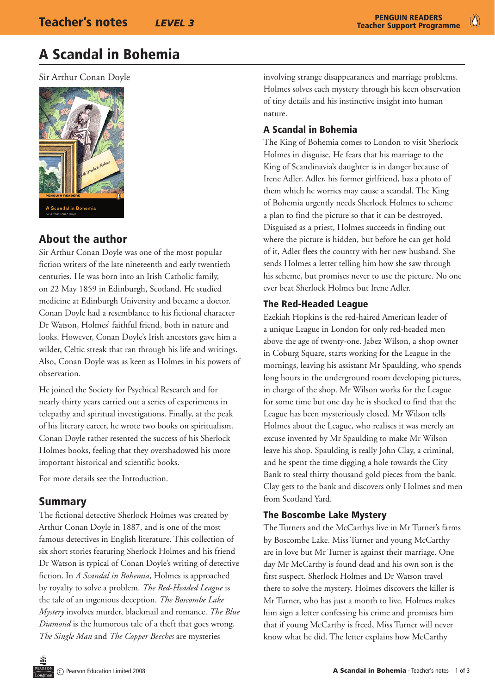# A Scandal in Bohemia

Sir Arthur Conan Doyle



## About the author

Sir Arthur Conan Doyle was one of the most popular fiction writers of the late nineteenth and early twentieth centuries. He was born into an Irish Catholic family, on 22 May 1859 in Edinburgh, Scotland. He studied medicine at Edinburgh University and became a doctor. Conan Doyle had a resemblance to his fictional character Dr Watson, Holmes' faithful friend, both in nature and looks. However, Conan Doyle's Irish ancestors gave him a wilder, Celtic streak that ran through his life and writings. Also, Conan Doyle was as keen as Holmes in his powers of observation.

He joined the Society for Psychical Research and for nearly thirty years carried out a series of experiments in telepathy and spiritual investigations. Finally, at the peak of his literary career, he wrote two books on spiritualism. Conan Doyle rather resented the success of his Sherlock Holmes books, feeling that they overshadowed his more important historical and scientific books.

For more details see the Introduction.

## Summary

The fictional detective Sherlock Holmes was created by Arthur Conan Doyle in 1887, and is one of the most famous detectives in English literature. This collection of six short stories featuring Sherlock Holmes and his friend Dr Watson is typical of Conan Doyle's writing of detective fiction. In *A Scandal in Bohemia*, Holmes is approached by royalty to solve a problem. *The Red*-*Headed League* is the tale of an ingenious deception. *The Boscombe Lake Mystery* involves murder, blackmail and romance. *The Blue Diamond* is the humorous tale of a theft that goes wrong. *The Single Man* and *The Copper Beeches* are mysteries

involving strange disappearances and marriage problems. Holmes solves each mystery through his keen observation of tiny details and his instinctive insight into human nature.

## A Scandal in Bohemia

The King of Bohemia comes to London to visit Sherlock Holmes in disguise. He fears that his marriage to the King of Scandinavia's daughter is in danger because of Irene Adler. Adler, his former girlfriend, has a photo of them which he worries may cause a scandal. The King of Bohemia urgently needs Sherlock Holmes to scheme a plan to find the picture so that it can be destroyed. Disguised as a priest, Holmes succeeds in finding out where the picture is hidden, but before he can get hold of it, Adler flees the country with her new husband. She sends Holmes a letter telling him how she saw through his scheme, but promises never to use the picture. No one ever beat Sherlock Holmes but Irene Adler.

#### The Red-Headed League

Ezekiah Hopkins is the red-haired American leader of a unique League in London for only red-headed men above the age of twenty-one. Jabez Wilson, a shop owner in Coburg Square, starts working for the League in the mornings, leaving his assistant Mr Spaulding, who spends long hours in the underground room developing pictures, in charge of the shop. Mr Wilson works for the League for some time but one day he is shocked to find that the League has been mysteriously closed. Mr Wilson tells Holmes about the League, who realises it was merely an excuse invented by Mr Spaulding to make Mr Wilson leave his shop. Spaulding is really John Clay, a criminal, and he spent the time digging a hole towards the City Bank to steal thirty thousand gold pieces from the bank. Clay gets to the bank and discovers only Holmes and men from Scotland Yard.

## The Boscombe Lake Mystery

The Turners and the McCarthys live in Mr Turner's farms by Boscombe Lake. Miss Turner and young McCarthy are in love but Mr Turner is against their marriage. One day Mr McCarthy is found dead and his own son is the first suspect. Sherlock Holmes and Dr Watson travel there to solve the mystery. Holmes discovers the killer is Mr Turner, who has just a month to live. Holmes makes him sign a letter confessing his crime and promises him that if young McCarthy is freed, Miss Turner will never know what he did. The letter explains how McCarthy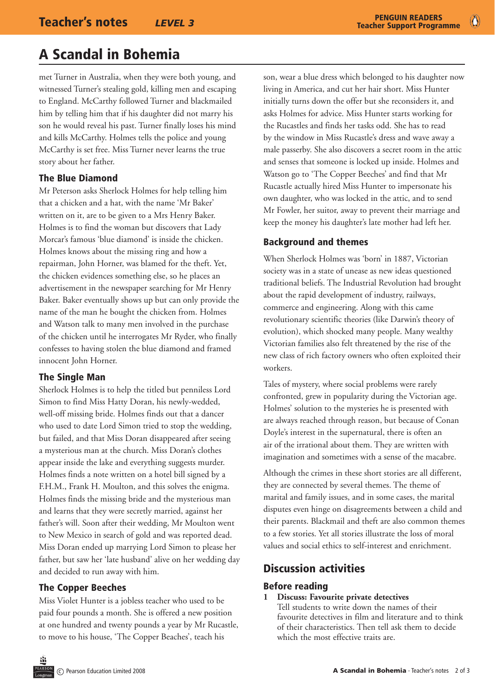# A Scandal in Bohemia

met Turner in Australia, when they were both young, and witnessed Turner's stealing gold, killing men and escaping to England. McCarthy followed Turner and blackmailed him by telling him that if his daughter did not marry his son he would reveal his past. Turner finally loses his mind and kills McCarthy. Holmes tells the police and young McCarthy is set free. Miss Turner never learns the true story about her father.

## The Blue Diamond

Mr Peterson asks Sherlock Holmes for help telling him that a chicken and a hat, with the name 'Mr Baker' written on it, are to be given to a Mrs Henry Baker. Holmes is to find the woman but discovers that Lady Morcar's famous 'blue diamond' is inside the chicken. Holmes knows about the missing ring and how a repairman, John Horner, was blamed for the theft. Yet, the chicken evidences something else, so he places an advertisement in the newspaper searching for Mr Henry Baker. Baker eventually shows up but can only provide the name of the man he bought the chicken from. Holmes and Watson talk to many men involved in the purchase of the chicken until he interrogates Mr Ryder, who finally confesses to having stolen the blue diamond and framed innocent John Horner.

## The Single Man

Sherlock Holmes is to help the titled but penniless Lord Simon to find Miss Hatty Doran, his newly-wedded, well-off missing bride. Holmes finds out that a dancer who used to date Lord Simon tried to stop the wedding, but failed, and that Miss Doran disappeared after seeing a mysterious man at the church. Miss Doran's clothes appear inside the lake and everything suggests murder. Holmes finds a note written on a hotel bill signed by a F.H.M., Frank H. Moulton, and this solves the enigma. Holmes finds the missing bride and the mysterious man and learns that they were secretly married, against her father's will. Soon after their wedding, Mr Moulton went to New Mexico in search of gold and was reported dead. Miss Doran ended up marrying Lord Simon to please her father, but saw her 'late husband' alive on her wedding day and decided to run away with him.

## The Copper Beeches

Miss Violet Hunter is a jobless teacher who used to be paid four pounds a month. She is offered a new position at one hundred and twenty pounds a year by Mr Rucastle, to move to his house, 'The Copper Beaches', teach his

son, wear a blue dress which belonged to his daughter now living in America, and cut her hair short. Miss Hunter initially turns down the offer but she reconsiders it, and asks Holmes for advice. Miss Hunter starts working for the Rucastles and finds her tasks odd. She has to read by the window in Miss Rucastle's dress and wave away a male passerby. She also discovers a secret room in the attic and senses that someone is locked up inside. Holmes and Watson go to 'The Copper Beeches' and find that Mr Rucastle actually hired Miss Hunter to impersonate his own daughter, who was locked in the attic, and to send Mr Fowler, her suitor, away to prevent their marriage and keep the money his daughter's late mother had left her.

## Background and themes

When Sherlock Holmes was 'born' in 1887, Victorian society was in a state of unease as new ideas questioned traditional beliefs. The Industrial Revolution had brought about the rapid development of industry, railways, commerce and engineering. Along with this came revolutionary scientific theories (like Darwin's theory of evolution), which shocked many people. Many wealthy Victorian families also felt threatened by the rise of the new class of rich factory owners who often exploited their workers.

Tales of mystery, where social problems were rarely confronted, grew in popularity during the Victorian age. Holmes' solution to the mysteries he is presented with are always reached through reason, but because of Conan Doyle's interest in the supernatural, there is often an air of the irrational about them. They are written with imagination and sometimes with a sense of the macabre.

Although the crimes in these short stories are all different, they are connected by several themes. The theme of marital and family issues, and in some cases, the marital disputes even hinge on disagreements between a child and their parents. Blackmail and theft are also common themes to a few stories. Yet all stories illustrate the loss of moral values and social ethics to self-interest and enrichment.

## Discussion activities

## Before reading

#### **1 Discuss: Favourite private detectives**

Tell students to write down the names of their favourite detectives in film and literature and to think of their characteristics. Then tell ask them to decide which the most effective traits are.